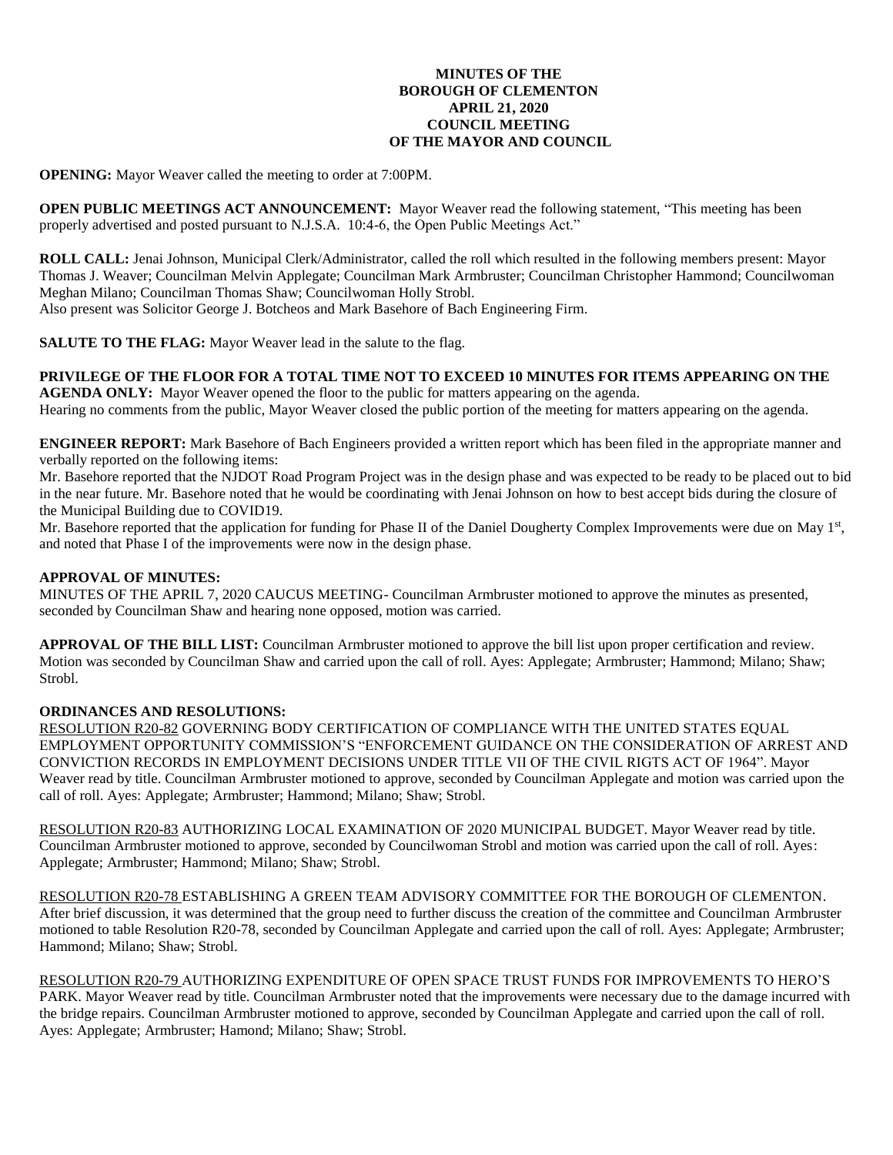## **MINUTES OF THE BOROUGH OF CLEMENTON APRIL 21, 2020 COUNCIL MEETING OF THE MAYOR AND COUNCIL**

**OPENING:** Mayor Weaver called the meeting to order at 7:00PM.

**OPEN PUBLIC MEETINGS ACT ANNOUNCEMENT:** Mayor Weaver read the following statement, "This meeting has been properly advertised and posted pursuant to N.J.S.A. 10:4-6, the Open Public Meetings Act."

**ROLL CALL:** Jenai Johnson, Municipal Clerk/Administrator, called the roll which resulted in the following members present: Mayor Thomas J. Weaver; Councilman Melvin Applegate; Councilman Mark Armbruster; Councilman Christopher Hammond; Councilwoman Meghan Milano; Councilman Thomas Shaw; Councilwoman Holly Strobl. Also present was Solicitor George J. Botcheos and Mark Basehore of Bach Engineering Firm.

**SALUTE TO THE FLAG:** Mayor Weaver lead in the salute to the flag.

# **PRIVILEGE OF THE FLOOR FOR A TOTAL TIME NOT TO EXCEED 10 MINUTES FOR ITEMS APPEARING ON THE**

**AGENDA ONLY:** Mayor Weaver opened the floor to the public for matters appearing on the agenda. Hearing no comments from the public, Mayor Weaver closed the public portion of the meeting for matters appearing on the agenda.

**ENGINEER REPORT:** Mark Basehore of Bach Engineers provided a written report which has been filed in the appropriate manner and verbally reported on the following items:

Mr. Basehore reported that the NJDOT Road Program Project was in the design phase and was expected to be ready to be placed out to bid in the near future. Mr. Basehore noted that he would be coordinating with Jenai Johnson on how to best accept bids during the closure of the Municipal Building due to COVID19.

Mr. Basehore reported that the application for funding for Phase II of the Daniel Dougherty Complex Improvements were due on May 1st, and noted that Phase I of the improvements were now in the design phase.

## **APPROVAL OF MINUTES:**

MINUTES OF THE APRIL 7, 2020 CAUCUS MEETING- Councilman Armbruster motioned to approve the minutes as presented, seconded by Councilman Shaw and hearing none opposed, motion was carried.

**APPROVAL OF THE BILL LIST:** Councilman Armbruster motioned to approve the bill list upon proper certification and review. Motion was seconded by Councilman Shaw and carried upon the call of roll. Ayes: Applegate; Armbruster; Hammond; Milano; Shaw; Strobl.

## **ORDINANCES AND RESOLUTIONS:**

RESOLUTION R20-82 GOVERNING BODY CERTIFICATION OF COMPLIANCE WITH THE UNITED STATES EQUAL EMPLOYMENT OPPORTUNITY COMMISSION'S "ENFORCEMENT GUIDANCE ON THE CONSIDERATION OF ARREST AND CONVICTION RECORDS IN EMPLOYMENT DECISIONS UNDER TITLE VII OF THE CIVIL RIGTS ACT OF 1964". Mayor Weaver read by title. Councilman Armbruster motioned to approve, seconded by Councilman Applegate and motion was carried upon the call of roll. Ayes: Applegate; Armbruster; Hammond; Milano; Shaw; Strobl.

RESOLUTION R20-83 AUTHORIZING LOCAL EXAMINATION OF 2020 MUNICIPAL BUDGET. Mayor Weaver read by title. Councilman Armbruster motioned to approve, seconded by Councilwoman Strobl and motion was carried upon the call of roll. Ayes: Applegate; Armbruster; Hammond; Milano; Shaw; Strobl.

RESOLUTION R20-78 ESTABLISHING A GREEN TEAM ADVISORY COMMITTEE FOR THE BOROUGH OF CLEMENTON. After brief discussion, it was determined that the group need to further discuss the creation of the committee and Councilman Armbruster motioned to table Resolution R20-78, seconded by Councilman Applegate and carried upon the call of roll. Ayes: Applegate; Armbruster; Hammond; Milano; Shaw; Strobl.

RESOLUTION R20-79 AUTHORIZING EXPENDITURE OF OPEN SPACE TRUST FUNDS FOR IMPROVEMENTS TO HERO'S PARK. Mayor Weaver read by title. Councilman Armbruster noted that the improvements were necessary due to the damage incurred with the bridge repairs. Councilman Armbruster motioned to approve, seconded by Councilman Applegate and carried upon the call of roll. Ayes: Applegate; Armbruster; Hamond; Milano; Shaw; Strobl.